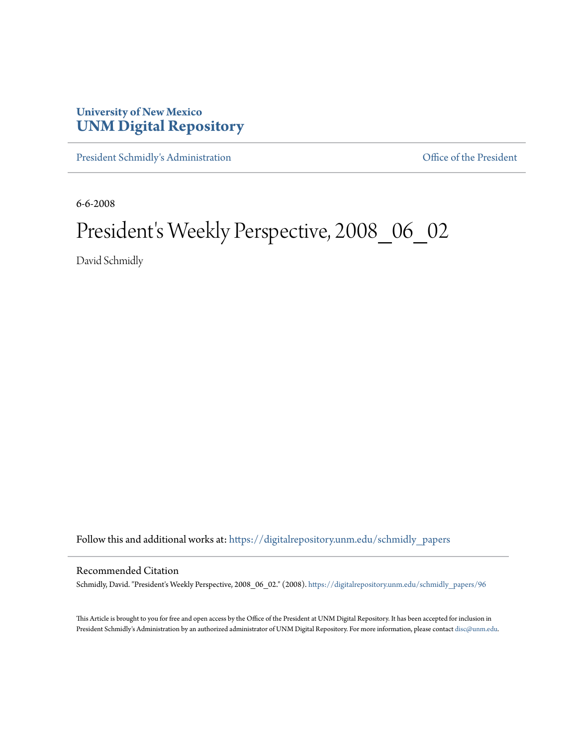## **University of New Mexico [UNM Digital Repository](https://digitalrepository.unm.edu?utm_source=digitalrepository.unm.edu%2Fschmidly_papers%2F96&utm_medium=PDF&utm_campaign=PDFCoverPages)**

[President Schmidly's Administration](https://digitalrepository.unm.edu/schmidly_papers?utm_source=digitalrepository.unm.edu%2Fschmidly_papers%2F96&utm_medium=PDF&utm_campaign=PDFCoverPages) [Office of the President](https://digitalrepository.unm.edu/ofc_president?utm_source=digitalrepository.unm.edu%2Fschmidly_papers%2F96&utm_medium=PDF&utm_campaign=PDFCoverPages)

6-6-2008

## President's Weekly Perspective, 2008\_06\_02

David Schmidly

Follow this and additional works at: [https://digitalrepository.unm.edu/schmidly\\_papers](https://digitalrepository.unm.edu/schmidly_papers?utm_source=digitalrepository.unm.edu%2Fschmidly_papers%2F96&utm_medium=PDF&utm_campaign=PDFCoverPages)

## Recommended Citation

Schmidly, David. "President's Weekly Perspective, 2008\_06\_02." (2008). [https://digitalrepository.unm.edu/schmidly\\_papers/96](https://digitalrepository.unm.edu/schmidly_papers/96?utm_source=digitalrepository.unm.edu%2Fschmidly_papers%2F96&utm_medium=PDF&utm_campaign=PDFCoverPages)

This Article is brought to you for free and open access by the Office of the President at UNM Digital Repository. It has been accepted for inclusion in President Schmidly's Administration by an authorized administrator of UNM Digital Repository. For more information, please contact [disc@unm.edu](mailto:disc@unm.edu).